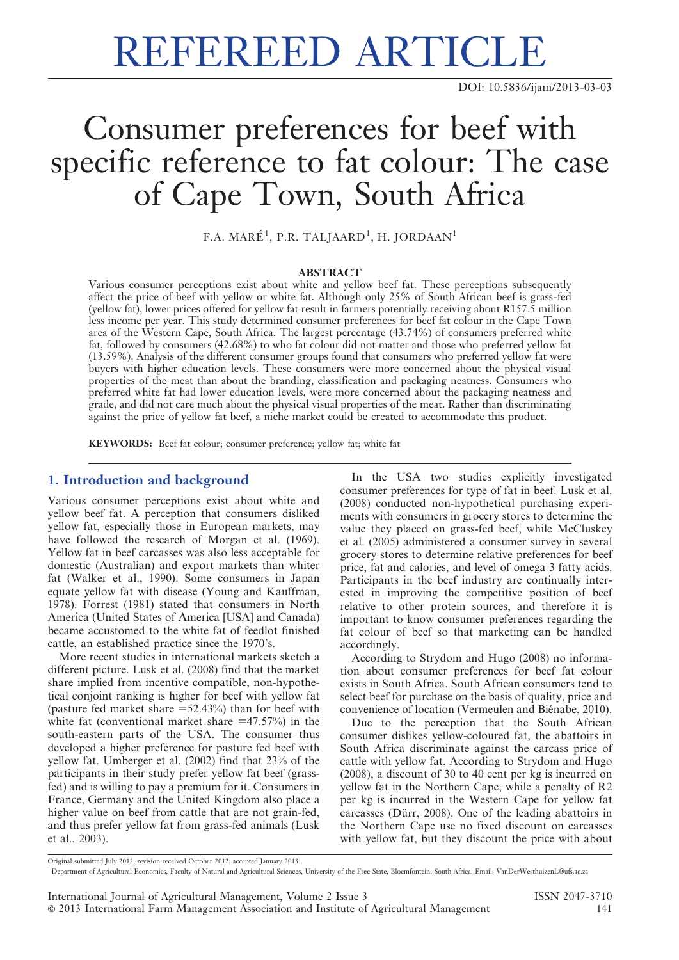# REFEREED ARTICLE

DOI: 10.5836/ijam/2013-03-03

## Consumer preferences for beef with specific reference to fat colour: The case of Cape Town, South Africa

F.A.  $\text{MARÉ}^1$ , p.r. taljaard<sup>1</sup>, h. jordaan<sup>1</sup>

#### **ABSTRACT**

Various consumer perceptions exist about white and yellow beef fat. These perceptions subsequently affect the price of beef with yellow or white fat. Although only 25% of South African beef is grass-fed (yellow fat), lower prices offered for yellow fat result in farmers potentially receiving about R157.5 million less income per year. This study determined consumer preferences for beef fat colour in the Cape Town area of the Western Cape, South Africa. The largest percentage (43.74%) of consumers preferred white fat, followed by consumers (42.68%) to who fat colour did not matter and those who preferred yellow fat (13.59%). Analysis of the different consumer groups found that consumers who preferred yellow fat were buyers with higher education levels. These consumers were more concerned about the physical visual properties of the meat than about the branding, classification and packaging neatness. Consumers who preferred white fat had lower education levels, were more concerned about the packaging neatness and grade, and did not care much about the physical visual properties of the meat. Rather than discriminating against the price of yellow fat beef, a niche market could be created to accommodate this product.

KEYWORDS: Beef fat colour; consumer preference; yellow fat; white fat

### 1. Introduction and background

Various consumer perceptions exist about white and yellow beef fat. A perception that consumers disliked yellow fat, especially those in European markets, may have followed the research of Morgan et al. (1969). Yellow fat in beef carcasses was also less acceptable for domestic (Australian) and export markets than whiter fat (Walker et al., 1990). Some consumers in Japan equate yellow fat with disease (Young and Kauffman, 1978). Forrest (1981) stated that consumers in North America (United States of America [USA] and Canada) became accustomed to the white fat of feedlot finished cattle, an established practice since the 1970's.

More recent studies in international markets sketch a different picture. Lusk et al. (2008) find that the market share implied from incentive compatible, non-hypothetical conjoint ranking is higher for beef with yellow fat (pasture fed market share =52.43%) than for beef with white fat (conventional market share  $=47.57%$ ) in the south-eastern parts of the USA. The consumer thus developed a higher preference for pasture fed beef with yellow fat. Umberger et al. (2002) find that 23% of the participants in their study prefer yellow fat beef (grassfed) and is willing to pay a premium for it. Consumers in France, Germany and the United Kingdom also place a higher value on beef from cattle that are not grain-fed, and thus prefer yellow fat from grass-fed animals (Lusk et al., 2003).

In the USA two studies explicitly investigated consumer preferences for type of fat in beef. Lusk et al. (2008) conducted non-hypothetical purchasing experiments with consumers in grocery stores to determine the value they placed on grass-fed beef, while McCluskey et al. (2005) administered a consumer survey in several grocery stores to determine relative preferences for beef price, fat and calories, and level of omega 3 fatty acids. Participants in the beef industry are continually interested in improving the competitive position of beef relative to other protein sources, and therefore it is important to know consumer preferences regarding the fat colour of beef so that marketing can be handled accordingly.

According to Strydom and Hugo (2008) no information about consumer preferences for beef fat colour exists in South Africa. South African consumers tend to select beef for purchase on the basis of quality, price and convenience of location (Vermeulen and Biénabe, 2010).

Due to the perception that the South African consumer dislikes yellow-coloured fat, the abattoirs in South Africa discriminate against the carcass price of cattle with yellow fat. According to Strydom and Hugo (2008), a discount of 30 to 40 cent per kg is incurred on yellow fat in the Northern Cape, while a penalty of R2 per kg is incurred in the Western Cape for yellow fat carcasses (Dürr, 2008). One of the leading abattoirs in the Northern Cape use no fixed discount on carcasses with yellow fat, but they discount the price with about

<sup>1</sup> Department of Agricultural Economics, Faculty of Natural and Agricultural Sciences, University of the Free State, Bloemfontein, South Africa. Email: VanDerWesthuizenL@ufs.ac.za

Original submitted July 2012; revision received October 2012; accepted January 2013.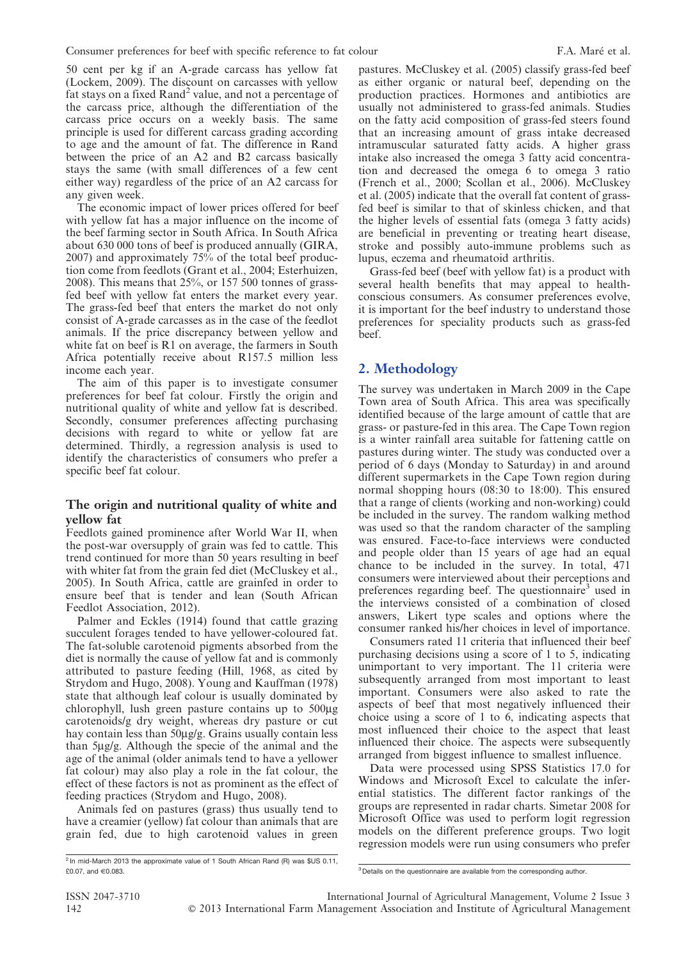50 cent per kg if an A-grade carcass has yellow fat (Lockem, 2009). The discount on carcasses with yellow fat stays on a fixed  $Rand^2$  value, and not a percentage of the carcass price, although the differentiation of the carcass price occurs on a weekly basis. The same principle is used for different carcass grading according to age and the amount of fat. The difference in Rand between the price of an A2 and B2 carcass basically stays the same (with small differences of a few cent either way) regardless of the price of an A2 carcass for any given week.

The economic impact of lower prices offered for beef with yellow fat has a major influence on the income of the beef farming sector in South Africa. In South Africa about 630 000 tons of beef is produced annually (GIRA, 2007) and approximately 75% of the total beef production come from feedlots (Grant et al., 2004; Esterhuizen, 2008). This means that 25%, or 157 500 tonnes of grassfed beef with yellow fat enters the market every year. The grass-fed beef that enters the market do not only consist of A-grade carcasses as in the case of the feedlot animals. If the price discrepancy between yellow and white fat on beef is R1 on average, the farmers in South Africa potentially receive about R157.5 million less income each year.

The aim of this paper is to investigate consumer preferences for beef fat colour. Firstly the origin and nutritional quality of white and yellow fat is described. Secondly, consumer preferences affecting purchasing decisions with regard to white or yellow fat are determined. Thirdly, a regression analysis is used to identify the characteristics of consumers who prefer a specific beef fat colour.

#### The origin and nutritional quality of white and yellow fat

Feedlots gained prominence after World War II, when the post-war oversupply of grain was fed to cattle. This trend continued for more than 50 years resulting in beef with whiter fat from the grain fed diet (McCluskey et al., 2005). In South Africa, cattle are grainfed in order to ensure beef that is tender and lean (South African Feedlot Association, 2012).

Palmer and Eckles (1914) found that cattle grazing succulent forages tended to have yellower-coloured fat. The fat-soluble carotenoid pigments absorbed from the diet is normally the cause of yellow fat and is commonly attributed to pasture feeding (Hill, 1968, as cited by Strydom and Hugo, 2008). Young and Kauffman (1978) state that although leaf colour is usually dominated by chlorophyll, lush green pasture contains up to  $500\mu$ g carotenoids/g dry weight, whereas dry pasture or cut hay contain less than 50µg/g. Grains usually contain less than  $5\mu g/g$ . Although the specie of the animal and the age of the animal (older animals tend to have a yellower fat colour) may also play a role in the fat colour, the effect of these factors is not as prominent as the effect of feeding practices (Strydom and Hugo, 2008).

Animals fed on pastures (grass) thus usually tend to have a creamier (yellow) fat colour than animals that are grain fed, due to high carotenoid values in green pastures. McCluskey et al. (2005) classify grass-fed beef as either organic or natural beef, depending on the production practices. Hormones and antibiotics are usually not administered to grass-fed animals. Studies on the fatty acid composition of grass-fed steers found that an increasing amount of grass intake decreased intramuscular saturated fatty acids. A higher grass intake also increased the omega 3 fatty acid concentration and decreased the omega 6 to omega 3 ratio (French et al., 2000; Scollan et al., 2006). McCluskey et al. (2005) indicate that the overall fat content of grassfed beef is similar to that of skinless chicken, and that the higher levels of essential fats (omega 3 fatty acids) are beneficial in preventing or treating heart disease, stroke and possibly auto-immune problems such as lupus, eczema and rheumatoid arthritis.

Grass-fed beef (beef with yellow fat) is a product with several health benefits that may appeal to healthconscious consumers. As consumer preferences evolve, it is important for the beef industry to understand those preferences for speciality products such as grass-fed beef.

### 2. Methodology

The survey was undertaken in March 2009 in the Cape Town area of South Africa. This area was specifically identified because of the large amount of cattle that are grass- or pasture-fed in this area. The Cape Town region is a winter rainfall area suitable for fattening cattle on pastures during winter. The study was conducted over a period of 6 days (Monday to Saturday) in and around different supermarkets in the Cape Town region during normal shopping hours (08:30 to 18:00). This ensured that a range of clients (working and non-working) could be included in the survey. The random walking method was used so that the random character of the sampling was ensured. Face-to-face interviews were conducted and people older than 15 years of age had an equal chance to be included in the survey. In total, 471 consumers were interviewed about their perceptions and preferences regarding beef. The questionnaire<sup>3</sup> used in the interviews consisted of a combination of closed answers, Likert type scales and options where the consumer ranked his/her choices in level of importance.

Consumers rated 11 criteria that influenced their beef purchasing decisions using a score of 1 to 5, indicating unimportant to very important. The 11 criteria were subsequently arranged from most important to least important. Consumers were also asked to rate the aspects of beef that most negatively influenced their choice using a score of 1 to 6, indicating aspects that most influenced their choice to the aspect that least influenced their choice. The aspects were subsequently arranged from biggest influence to smallest influence.

Data were processed using SPSS Statistics 17.0 for Windows and Microsoft Excel to calculate the inferential statistics. The different factor rankings of the groups are represented in radar charts. Simetar 2008 for Microsoft Office was used to perform logit regression models on the different preference groups. Two logit regression models were run using consumers who prefer

<sup>&</sup>lt;sup>2</sup> In mid-March 2013 the approximate value of 1 South African Rand (R) was \$US 0.11, £0.07, and €0.083.  $\overline{3}$  Details on the questionnaire are available from the corresponding author.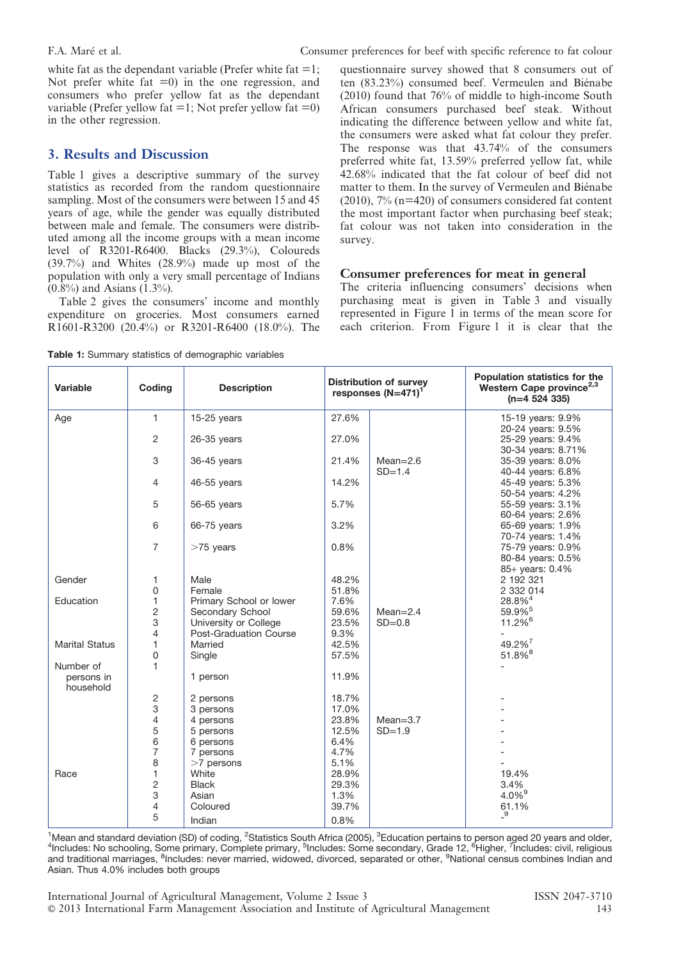white fat as the dependant variable (Prefer white fat  $=1$ ; Not prefer white fat  $=0$ ) in the one regression, and consumers who prefer yellow fat as the dependant variable (Prefer yellow fat  $=1$ ; Not prefer yellow fat  $=0$ ) in the other regression.

#### 3. Results and Discussion

Table 1 gives a descriptive summary of the survey statistics as recorded from the random questionnaire sampling. Most of the consumers were between 15 and 45 years of age, while the gender was equally distributed between male and female. The consumers were distributed among all the income groups with a mean income level of R3201-R6400. Blacks (29.3%), Coloureds (39.7%) and Whites (28.9%) made up most of the population with only a very small percentage of Indians (0.8%) and Asians (1.3%).

Table 2 gives the consumers' income and monthly expenditure on groceries. Most consumers earned R1601-R3200 (20.4%) or R3201-R6400 (18.0%). The

questionnaire survey showed that 8 consumers out of ten (83.23%) consumed beef. Vermeulen and Biénabe (2010) found that 76% of middle to high-income South African consumers purchased beef steak. Without indicating the difference between yellow and white fat, the consumers were asked what fat colour they prefer. The response was that 43.74% of the consumers preferred white fat, 13.59% preferred yellow fat, while 42.68% indicated that the fat colour of beef did not matter to them. In the survey of Vermeulen and Biénabe  $(2010)$ , 7%  $(n=420)$  of consumers considered fat content the most important factor when purchasing beef steak; fat colour was not taken into consideration in the survey.

#### Consumer preferences for meat in general

The criteria influencing consumers' decisions when purchasing meat is given in Table 3 and visually represented in Figure 1 in terms of the mean score for each criterion. From Figure 1 it is clear that the

Table 1: Summary statistics of demographic variables

| Variable                             | Coding                                               | <b>Description</b>                                                                             |                                                  | <b>Distribution of survey</b><br>responses $(N=471)^1$ | Population statistics for the<br>Western Cape province <sup>2,3</sup><br>$(n=4 524 335)$ |  |  |  |
|--------------------------------------|------------------------------------------------------|------------------------------------------------------------------------------------------------|--------------------------------------------------|--------------------------------------------------------|------------------------------------------------------------------------------------------|--|--|--|
| Age                                  | $\mathbf{1}$                                         | $15-25$ years                                                                                  | 27.6%                                            |                                                        | 15-19 years: 9.9%                                                                        |  |  |  |
|                                      | $\overline{2}$                                       | 26-35 years                                                                                    | 27.0%                                            |                                                        | 20-24 years: 9.5%<br>25-29 years: 9.4%<br>30-34 years: 8.71%                             |  |  |  |
|                                      | 3                                                    | 36-45 years                                                                                    | 21.4%                                            | $Mean = 2.6$<br>$SD=1.4$                               | 35-39 years: 8.0%<br>40-44 years: 6.8%                                                   |  |  |  |
|                                      | $\overline{4}$                                       | 46-55 years                                                                                    | 14.2%                                            |                                                        | 45-49 years: 5.3%<br>50-54 years: 4.2%                                                   |  |  |  |
|                                      | 5                                                    | 56-65 years                                                                                    | 5.7%                                             |                                                        | 55-59 years: 3.1%<br>60-64 years: 2.6%                                                   |  |  |  |
|                                      | 6                                                    | 66-75 years                                                                                    | 3.2%                                             |                                                        | 65-69 years: 1.9%<br>70-74 years: 1.4%                                                   |  |  |  |
|                                      | $\overline{7}$                                       | $>75$ years                                                                                    | 0.8%                                             |                                                        | 75-79 years: 0.9%<br>80-84 years: 0.5%<br>85+ years: 0.4%                                |  |  |  |
| Gender                               | 1<br>$\mathsf 0$                                     | Male<br>Female                                                                                 | 48.2%<br>51.8%                                   |                                                        | 2 192 321<br>2 332 014                                                                   |  |  |  |
| Education                            | 1<br>$\overline{c}$<br>3<br>$\overline{4}$           | Primary School or lower<br>Secondary School<br>University or College<br>Post-Graduation Course | 7.6%<br>59.6%<br>23.5%<br>9.3%                   | $Mean = 2.4$<br>$SD=0.8$                               | 28.8% <sup>4</sup><br>59.9% <sup>5</sup><br>11.2% <sup>6</sup>                           |  |  |  |
| <b>Marital Status</b>                | 1.<br>0                                              | Married<br>Single                                                                              | 42.5%<br>57.5%                                   |                                                        | 49.2% <sup>7</sup><br>51.8% <sup>8</sup>                                                 |  |  |  |
| Number of<br>persons in<br>household | 1                                                    | 1 person                                                                                       | 11.9%                                            |                                                        |                                                                                          |  |  |  |
|                                      | 2<br>3<br>$\overline{4}$<br>5<br>6<br>$\overline{7}$ | 2 persons<br>3 persons<br>4 persons<br>5 persons<br>6 persons<br>7 persons                     | 18.7%<br>17.0%<br>23.8%<br>12.5%<br>6.4%<br>4.7% | $Mean = 3.7$<br>$SD=1.9$                               |                                                                                          |  |  |  |
| Race                                 | 8<br>$\mathbf{1}$<br>$\overline{c}$<br>3<br>4<br>5   | $>7$ persons<br>White<br><b>Black</b><br>Asian<br>Coloured<br>Indian                           | 5.1%<br>28.9%<br>29.3%<br>1.3%<br>39.7%<br>0.8%  |                                                        | 19.4%<br>3.4%<br>$4.0\%$ <sup>9</sup><br>61.1%<br>$-9$                                   |  |  |  |

<sup>1</sup>Mean and standard deviation (SD) of coding, <sup>2</sup>Statistics South Africa (2005), <sup>3</sup>Education pertains to person aged 20 years and older,<br><sup>4</sup>Includes: No schooling, Some primary, Complete primary, <sup>5</sup>Includes: Some second and traditional marriages, <sup>8</sup>Includes: never married, widowed, divorced, separated or other, <sup>9</sup>National census combines Indian and Asian. Thus 4.0% includes both groups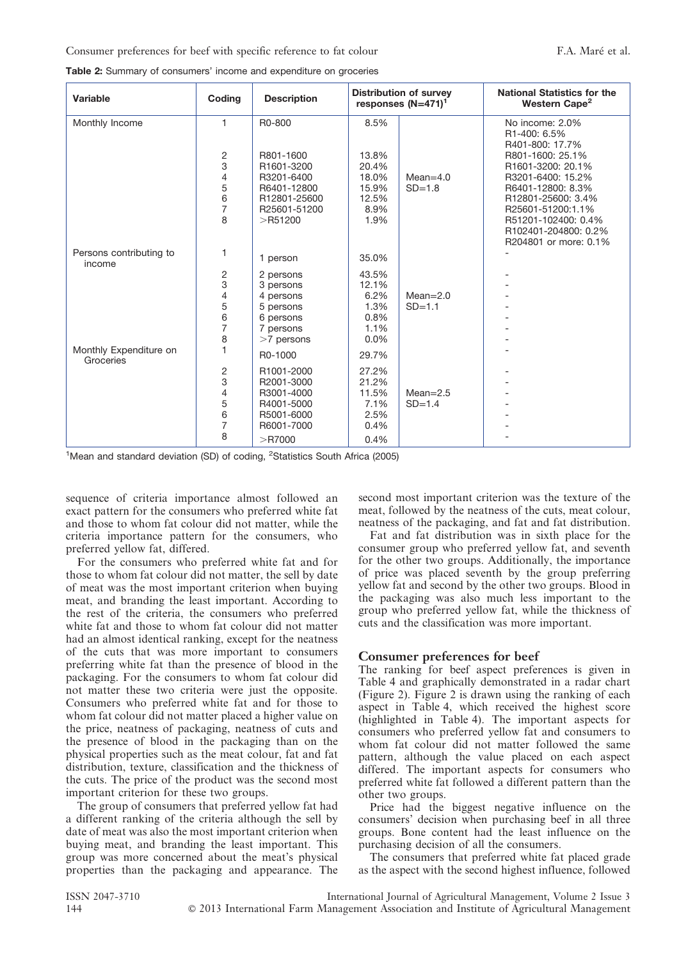| <b>Variable</b>                     | Coding         | <b>Description</b> | <b>Distribution of survey</b><br>responses $(N=471)^1$ |              | <b>National Statistics for the</b><br>Western Cape <sup>2</sup>      |
|-------------------------------------|----------------|--------------------|--------------------------------------------------------|--------------|----------------------------------------------------------------------|
| Monthly Income                      | 1              | R0-800             | 8.5%                                                   |              | No income: 2.0%<br>R1-400: 6.5%<br>R401-800: 17.7%                   |
|                                     | 2              | R801-1600          | 13.8%                                                  |              | R801-1600: 25.1%                                                     |
|                                     | 3              | R1601-3200         | 20.4%                                                  |              | R1601-3200: 20.1%                                                    |
|                                     | 4              | R3201-6400         | 18.0%                                                  | $Mean=4.0$   | R3201-6400: 15.2%                                                    |
|                                     | 5              | R6401-12800        | 15.9%                                                  | $SD = 1.8$   | R6401-12800: 8.3%                                                    |
|                                     | 6              | R12801-25600       | 12.5%                                                  |              | R12801-25600: 3.4%                                                   |
|                                     | 7              | R25601-51200       | 8.9%                                                   |              | R25601-51200:1.1%                                                    |
| 8                                   |                | $>$ R51200         | 1.9%                                                   |              | R51201-102400: 0.4%<br>R102401-204800: 0.2%<br>R204801 or more: 0.1% |
| Persons contributing to<br>income   | 1              | 1 person           | 35.0%                                                  |              |                                                                      |
|                                     |                | 2 persons          | 43.5%                                                  |              |                                                                      |
|                                     | $\frac{2}{3}$  | 3 persons          | 12.1%                                                  |              |                                                                      |
|                                     | 4              | 4 persons          | 6.2%                                                   | $Mean = 2.0$ |                                                                      |
|                                     | 5              | 5 persons          | 1.3%                                                   | $SD = 1.1$   |                                                                      |
|                                     | 6              | 6 persons          | 0.8%                                                   |              |                                                                      |
|                                     | $\overline{7}$ | 7 persons          | 1.1%                                                   |              |                                                                      |
|                                     | 8              | $>7$ persons       | 0.0%                                                   |              |                                                                      |
| Monthly Expenditure on<br>Groceries | 1              | R0-1000            | 29.7%                                                  |              |                                                                      |
|                                     | 2              | R1001-2000         | 27.2%                                                  |              |                                                                      |
|                                     | 3              | R2001-3000         | 21.2%                                                  |              |                                                                      |
|                                     | 4              | R3001-4000         | 11.5%                                                  | $Mean = 2.5$ |                                                                      |
|                                     | 5              | R4001-5000         | 7.1%                                                   | $SD = 1.4$   |                                                                      |
|                                     | 6              | R5001-6000         | 2.5%                                                   |              |                                                                      |
|                                     | 7              | R6001-7000         | 0.4%                                                   |              |                                                                      |
|                                     | 8              | $>$ R7000          | 0.4%                                                   |              |                                                                      |

Table 2: Summary of consumers' income and expenditure on groceries

<sup>1</sup>Mean and standard deviation (SD) of coding, <sup>2</sup>Statistics South Africa (2005)

sequence of criteria importance almost followed an exact pattern for the consumers who preferred white fat and those to whom fat colour did not matter, while the criteria importance pattern for the consumers, who preferred yellow fat, differed.

For the consumers who preferred white fat and for those to whom fat colour did not matter, the sell by date of meat was the most important criterion when buying meat, and branding the least important. According to the rest of the criteria, the consumers who preferred white fat and those to whom fat colour did not matter had an almost identical ranking, except for the neatness of the cuts that was more important to consumers preferring white fat than the presence of blood in the packaging. For the consumers to whom fat colour did not matter these two criteria were just the opposite. Consumers who preferred white fat and for those to whom fat colour did not matter placed a higher value on the price, neatness of packaging, neatness of cuts and the presence of blood in the packaging than on the physical properties such as the meat colour, fat and fat distribution, texture, classification and the thickness of the cuts. The price of the product was the second most important criterion for these two groups.

The group of consumers that preferred yellow fat had a different ranking of the criteria although the sell by date of meat was also the most important criterion when buying meat, and branding the least important. This group was more concerned about the meat's physical properties than the packaging and appearance. The second most important criterion was the texture of the meat, followed by the neatness of the cuts, meat colour, neatness of the packaging, and fat and fat distribution.

Fat and fat distribution was in sixth place for the consumer group who preferred yellow fat, and seventh for the other two groups. Additionally, the importance of price was placed seventh by the group preferring yellow fat and second by the other two groups. Blood in the packaging was also much less important to the group who preferred yellow fat, while the thickness of cuts and the classification was more important.

#### Consumer preferences for beef

The ranking for beef aspect preferences is given in Table 4 and graphically demonstrated in a radar chart (Figure 2). Figure 2 is drawn using the ranking of each aspect in Table 4, which received the highest score (highlighted in Table 4). The important aspects for consumers who preferred yellow fat and consumers to whom fat colour did not matter followed the same pattern, although the value placed on each aspect differed. The important aspects for consumers who preferred white fat followed a different pattern than the other two groups.

Price had the biggest negative influence on the consumers' decision when purchasing beef in all three groups. Bone content had the least influence on the purchasing decision of all the consumers.

The consumers that preferred white fat placed grade as the aspect with the second highest influence, followed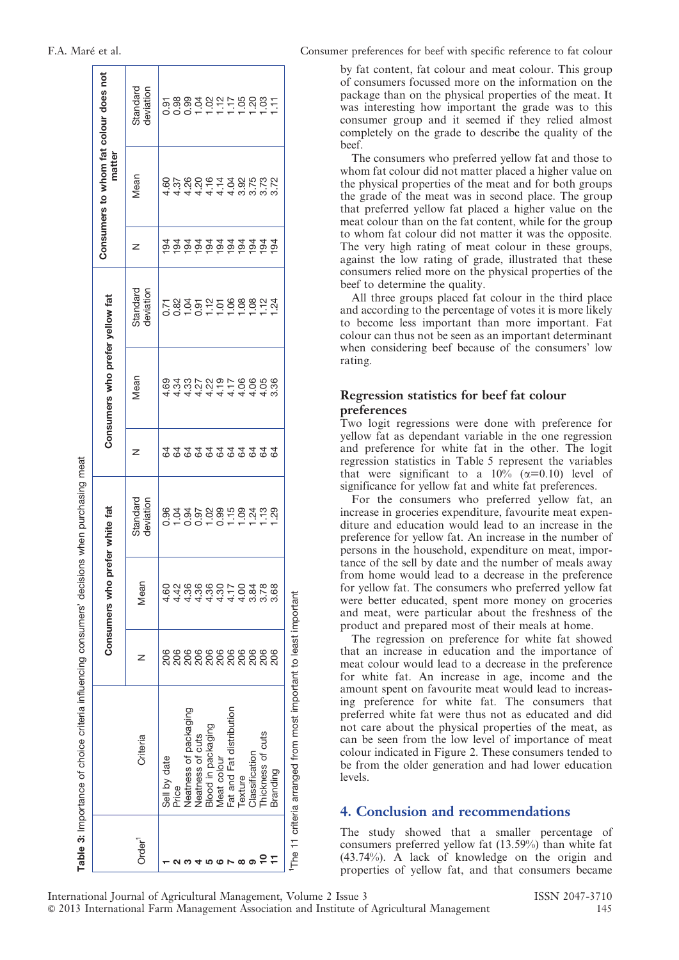|                     | Table 3: Importance of choice criteria influencing consumers' decisions when purchasing meat |                                                       |                  |                                                                                                                                                                                                                                                                                                                                                                                                                             |                     |                                                                                   |                                                    |                                          |                                                                                 |                                                                  |
|---------------------|----------------------------------------------------------------------------------------------|-------------------------------------------------------|------------------|-----------------------------------------------------------------------------------------------------------------------------------------------------------------------------------------------------------------------------------------------------------------------------------------------------------------------------------------------------------------------------------------------------------------------------|---------------------|-----------------------------------------------------------------------------------|----------------------------------------------------|------------------------------------------|---------------------------------------------------------------------------------|------------------------------------------------------------------|
|                     |                                                                                              |                                                       | Consumers who pr | efer white fat                                                                                                                                                                                                                                                                                                                                                                                                              |                     | Consumers who prefer yellow fat                                                   |                                                    |                                          | Consumers to whom fat colour does not<br>matter                                 |                                                                  |
| Order <sup>-1</sup> | Criteria                                                                                     | Z                                                     | Mean             | Standard<br>deviation                                                                                                                                                                                                                                                                                                                                                                                                       | z                   | Mean                                                                              | Standard<br>deviation                              | z                                        | Mean                                                                            | Standard<br>deviation                                            |
|                     | Sell by date                                                                                 | 206                                                   | 4.60             |                                                                                                                                                                                                                                                                                                                                                                                                                             |                     |                                                                                   |                                                    |                                          |                                                                                 |                                                                  |
|                     | Price                                                                                        |                                                       | 4.42             |                                                                                                                                                                                                                                                                                                                                                                                                                             |                     |                                                                                   |                                                    |                                          |                                                                                 |                                                                  |
|                     | Neatness of packaging                                                                        |                                                       | 4.36             |                                                                                                                                                                                                                                                                                                                                                                                                                             |                     |                                                                                   |                                                    |                                          |                                                                                 |                                                                  |
|                     | Neatness of cuts                                                                             |                                                       | 4.36             |                                                                                                                                                                                                                                                                                                                                                                                                                             |                     |                                                                                   |                                                    |                                          |                                                                                 |                                                                  |
|                     | Blood in packaging                                                                           |                                                       | 4.36             |                                                                                                                                                                                                                                                                                                                                                                                                                             |                     |                                                                                   |                                                    |                                          |                                                                                 |                                                                  |
|                     | Meat colour                                                                                  |                                                       | 4.30             |                                                                                                                                                                                                                                                                                                                                                                                                                             |                     |                                                                                   |                                                    |                                          |                                                                                 |                                                                  |
|                     | Fat and Fat distribution                                                                     | <u>ទូទូទូទូទូទូទូ</u><br>ស្តីស្តីស្តីស្តីស្តីស្តីស្តី | 4.17             | $\begin{array}{l} 0\, \texttt{0}\, \texttt{0}\, \texttt{0}\, \texttt{0}\, \texttt{0}\, \texttt{0}\, \texttt{0}\, \texttt{0}\, \texttt{0}\, \texttt{0}\, \texttt{0}\, \texttt{0}\, \texttt{0}\, \texttt{0}\, \texttt{0}\, \texttt{0}\, \texttt{0}\, \texttt{0}\, \texttt{0}\, \texttt{0}\, \texttt{0}\, \texttt{0}\, \texttt{0}\, \texttt{0}\, \texttt{0}\, \texttt{0}\, \texttt{0}\, \texttt{0}\, \texttt{0}\, \texttt{0}\$ | 5 5 5 5 5 5 5 6 7 6 | g q q q q q q q q q q<br>@ q i g i d q = = 0 0 0 0 0<br>@ q i g i d = = 0 0 0 0 0 | r & 3 5 8 9 5 8 8 8 8 9 7<br>O 8 7 5 9 8 8 8 9 7 7 | <u> ਕੁ ਕੁ ਕੁ ਕੁ ਕੁ ਕੁ ਕੁ ਕੁ ਕੁ ਕੁ ਕੁ</u> | 8 7 8 8 9 4 4 5 8 7 7 7 7<br>6 7 8 9 9 4 5 8 7 7 7 7<br>9 7 8 9 9 4 5 8 9 7 7 9 | $\begin{array}{c} 5.893587778837 \\ 0.0007777777777 \end{array}$ |
| ထ                   | Texture                                                                                      |                                                       | 4.00             |                                                                                                                                                                                                                                                                                                                                                                                                                             |                     |                                                                                   |                                                    |                                          |                                                                                 |                                                                  |
|                     | Classification                                                                               |                                                       | 3.84             |                                                                                                                                                                                                                                                                                                                                                                                                                             |                     |                                                                                   |                                                    |                                          |                                                                                 |                                                                  |
| <u>۽</u>            | Thickness of cuts                                                                            | 206<br>206                                            | 3.78             |                                                                                                                                                                                                                                                                                                                                                                                                                             |                     |                                                                                   |                                                    |                                          |                                                                                 |                                                                  |
|                     | Branding                                                                                     |                                                       | 3.68             |                                                                                                                                                                                                                                                                                                                                                                                                                             |                     |                                                                                   |                                                    |                                          |                                                                                 |                                                                  |
|                     | The 11 criteria arranged from most important to least important                              |                                                       |                  |                                                                                                                                                                                                                                                                                                                                                                                                                             |                     |                                                                                   |                                                    |                                          |                                                                                 |                                                                  |

F.A. Maré et al. **Consumer preferences for beef with specific reference to fat colour** 

by fat content, fat colour and meat colour. This group of consumers focussed more on the information on the package than on the physical properties of the meat. It was interesting how important the grade was to this consumer group and it seemed if they relied almost completely on the grade to describe the quality of the beef.

The consumers who preferred yellow fat and those to whom fat colour did not matter placed a higher value on the physical properties of the meat and for both groups the grade of the meat was in second place. The group that preferred yellow fat placed a higher value on the meat colour than on the fat content, while for the group to whom fat colour did not matter it was the opposite. The very high rating of meat colour in these groups, against the low rating of grade, illustrated that these consumers relied more on the physical properties of the beef to determine the quality.

All three groups placed fat colour in the third place and according to the percentage of votes it is more likely to become less important than more important. Fat colour can thus not be seen as an important determinant when considering beef because of the consumers' low rating.

#### Regression statistics for beef fat colour preferences

Two logit regressions were done with preference for yellow fat as dependant variable in the one regression and preference for white fat in the other. The logit regression statistics in Table 5 represent the variables that were significant to a  $10\%$  ( $\alpha=0.10$ ) level of significance for yellow fat and white fat preferences.

For the consumers who preferred yellow fat, an increase in groceries expenditure, favourite meat expenditure and education would lead to an increase in the preference for yellow fat. An increase in the number of persons in the household, expenditure on meat, importance of the sell by date and the number of meals away from home would lead to a decrease in the preference for yellow fat. The consumers who preferred yellow fat were better educated, spent more money on groceries and meat, were particular about the freshness of the product and prepared most of their meals at home.

The regression on preference for white fat showed that an increase in education and the importance of meat colour would lead to a decrease in the preference for white fat. An increase in age, income and the amount spent on favourite meat would lead to increasing preference for white fat. The consumers that preferred white fat were thus not as educated and did not care about the physical properties of the meat, as can be seen from the low level of importance of meat colour indicated in Figure 2. These consumers tended to be from the older generation and had lower education levels.

#### 4. Conclusion and recommendations

The study showed that a smaller percentage of consumers preferred yellow fat (13.59%) than white fat (43.74%). A lack of knowledge on the origin and properties of yellow fat, and that consumers became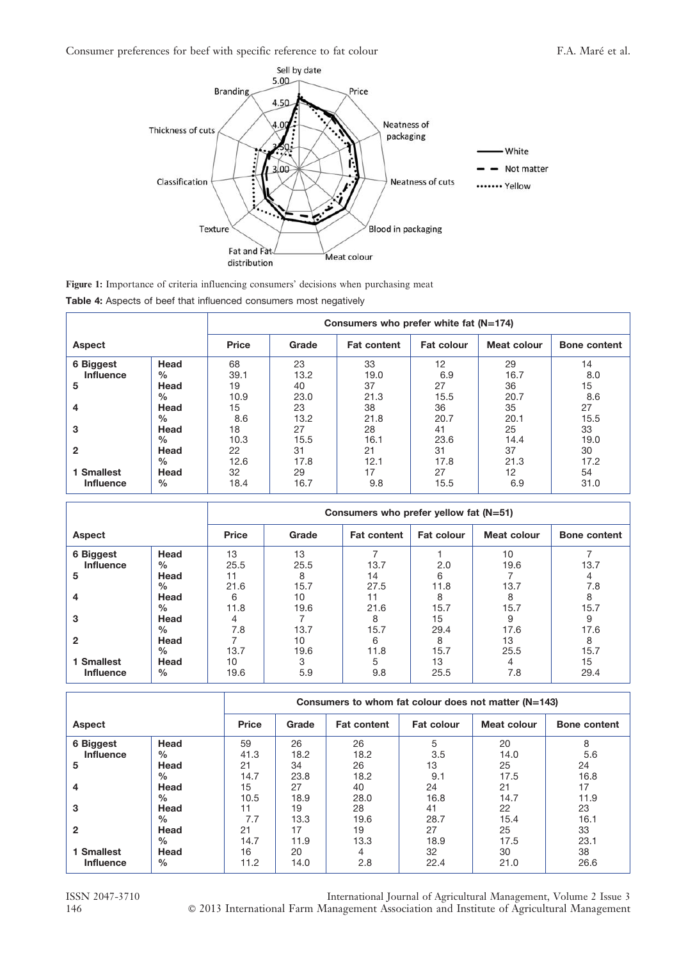Consumer preferences for beef with specific reference to fat colour F.A. Maré et al.



| <b>Figure 1:</b> Importance of criteria influencing consumers' decisions when purchasing meat |  |  |  |
|-----------------------------------------------------------------------------------------------|--|--|--|
| <b>Table 4:</b> Aspects of beef that influenced consumers most negatively                     |  |  |  |

|                                                                                 |                                                                                                        | Consumers who prefer white fat $(N=174)$                                |                                                                          |                                                                          |                                                                         |                                                                                       |                                                                        |  |  |
|---------------------------------------------------------------------------------|--------------------------------------------------------------------------------------------------------|-------------------------------------------------------------------------|--------------------------------------------------------------------------|--------------------------------------------------------------------------|-------------------------------------------------------------------------|---------------------------------------------------------------------------------------|------------------------------------------------------------------------|--|--|
| Aspect                                                                          |                                                                                                        | Price                                                                   | Grade                                                                    | <b>Fat content</b>                                                       | <b>Fat colour</b>                                                       | Meat colour                                                                           | <b>Bone content</b>                                                    |  |  |
| 6 Biggest<br><b>Influence</b><br>5<br>4<br>3<br>$\mathbf{2}$<br><b>Smallest</b> | Head<br>$\frac{0}{0}$<br>Head<br>$\%$<br>Head<br>$\%$<br>Head<br>$\%$<br>Head<br>$\frac{0}{0}$<br>Head | 68<br>39.1<br>19<br>10.9<br>15<br>8.6<br>18<br>10.3<br>22<br>12.6<br>32 | 23<br>13.2<br>40<br>23.0<br>23<br>13.2<br>27<br>15.5<br>31<br>17.8<br>29 | 33<br>19.0<br>37<br>21.3<br>38<br>21.8<br>28<br>16.1<br>21<br>12.1<br>17 | 12<br>6.9<br>27<br>15.5<br>36<br>20.7<br>41<br>23.6<br>31<br>17.8<br>27 | 29<br>16.7<br>36<br>20.7<br>35<br>20.1<br>25<br>14.4<br>37<br>21.3<br>12 <sup>2</sup> | 14<br>8.0<br>15<br>8.6<br>27<br>15.5<br>33<br>19.0<br>30<br>17.2<br>54 |  |  |
| <b>Influence</b>                                                                | $\frac{0}{0}$                                                                                          | 18.4                                                                    | 16.7                                                                     | 9.8                                                                      | 15.5                                                                    | 6.9                                                                                   | 31.0                                                                   |  |  |

|                                                |                                        | Consumers who prefer yellow fat $(N=51)$ |                        |                       |                         |                        |                         |  |  |
|------------------------------------------------|----------------------------------------|------------------------------------------|------------------------|-----------------------|-------------------------|------------------------|-------------------------|--|--|
| Aspect                                         |                                        | Price                                    | Grade                  | <b>Fat content</b>    | <b>Fat colour</b>       | <b>Meat colour</b>     | <b>Bone content</b>     |  |  |
| 6 Biggest<br><b>Influence</b><br>5             | Head<br>$\%$<br>Head                   | 13<br>25.5<br>11                         | 13<br>25.5<br>8        | 13.7<br>14            | 2.0<br>6                | 10<br>19.6             | 13.7<br>4               |  |  |
| 4                                              | $\frac{0}{0}$<br>Head                  | 21.6<br>6                                | 15.7<br>10             | 27.5<br>11            | 11.8<br>8               | 13.7<br>8              | 7.8<br>8                |  |  |
| 3                                              | $\frac{0}{0}$<br>Head<br>$\frac{0}{0}$ | 11.8<br>4<br>7.8                         | 19.6<br>13.7           | 21.6<br>8<br>15.7     | 15.7<br>15<br>29.4      | 15.7<br>9<br>17.6      | 15.7<br>9<br>17.6       |  |  |
| $\mathbf{2}$<br>1 Smallest<br><b>Influence</b> | Head<br>$\%$<br>Head<br>$\%$           | 13.7<br>10<br>19.6                       | 10<br>19.6<br>3<br>5.9 | 6<br>11.8<br>5<br>9.8 | 8<br>15.7<br>13<br>25.5 | 13<br>25.5<br>4<br>7.8 | 8<br>15.7<br>15<br>29.4 |  |  |

|                                                              |                                                                                                         | Consumers to whom fat colour does not matter ( $N=143$ )          |                                                                    |                                                                    |                                                                 |                                                                    |                                                                  |  |  |
|--------------------------------------------------------------|---------------------------------------------------------------------------------------------------------|-------------------------------------------------------------------|--------------------------------------------------------------------|--------------------------------------------------------------------|-----------------------------------------------------------------|--------------------------------------------------------------------|------------------------------------------------------------------|--|--|
| <b>Aspect</b>                                                |                                                                                                         | <b>Price</b>                                                      | Grade                                                              | <b>Fat content</b><br><b>Fat colour</b>                            |                                                                 | <b>Meat colour</b>                                                 | <b>Bone content</b>                                              |  |  |
| 6 Biggest<br><b>Influence</b><br>5<br>4<br>3<br>$\mathbf{2}$ | Head<br>$\frac{0}{0}$<br>Head<br>$\frac{0}{0}$<br>Head<br>$\frac{0}{0}$<br>Head<br>$\%$<br>Head<br>$\%$ | 59<br>41.3<br>21<br>14.7<br>15<br>10.5<br>11<br>7.7<br>21<br>14.7 | 26<br>18.2<br>34<br>23.8<br>27<br>18.9<br>19<br>13.3<br>17<br>11.9 | 26<br>18.2<br>26<br>18.2<br>40<br>28.0<br>28<br>19.6<br>19<br>13.3 | 5<br>3.5<br>13<br>9.1<br>24<br>16.8<br>41<br>28.7<br>27<br>18.9 | 20<br>14.0<br>25<br>17.5<br>21<br>14.7<br>22<br>15.4<br>25<br>17.5 | 8<br>5.6<br>24<br>16.8<br>17<br>11.9<br>23<br>16.1<br>33<br>23.1 |  |  |
| <b>Smallest</b><br><b>Influence</b>                          | Head<br>$\frac{0}{0}$                                                                                   | 16<br>11.2                                                        | 20<br>14.0                                                         | 4<br>2.8                                                           | 32<br>22.4                                                      | 30<br>21.0                                                         | 38<br>26.6                                                       |  |  |

ISSN 2047-3710 International Journal of Agricultural Management, Volume 2 Issue 3 146 C 2013 International Farm Management Association and Institute of Agricultural Management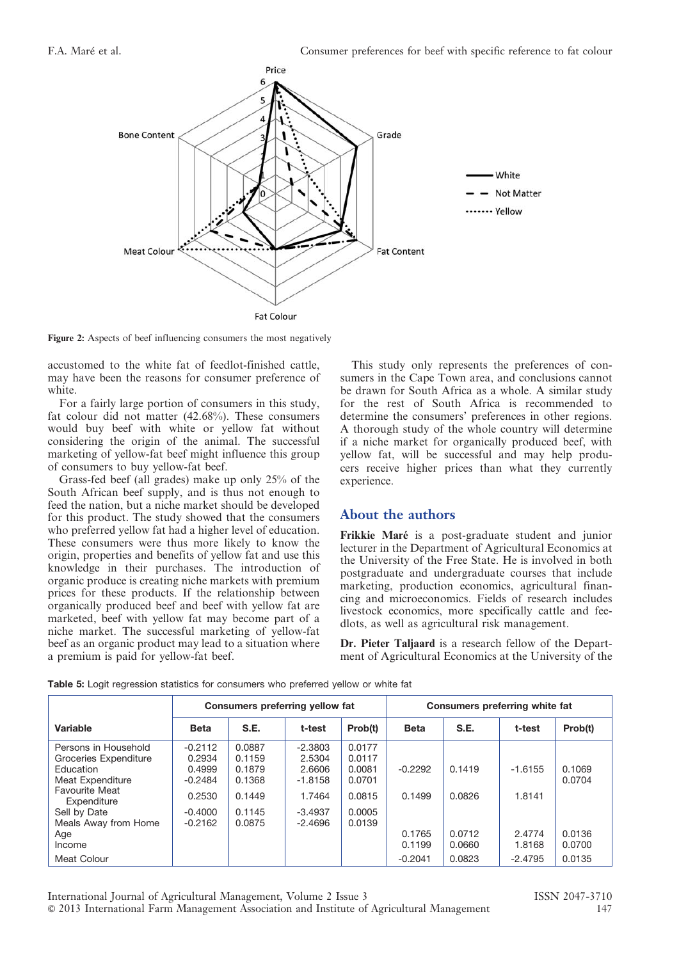

Figure 2: Aspects of beef influencing consumers the most negatively

accustomed to the white fat of feedlot-finished cattle, may have been the reasons for consumer preference of white.

For a fairly large portion of consumers in this study, fat colour did not matter (42.68%). These consumers would buy beef with white or yellow fat without considering the origin of the animal. The successful marketing of yellow-fat beef might influence this group of consumers to buy yellow-fat beef.

Grass-fed beef (all grades) make up only 25% of the South African beef supply, and is thus not enough to feed the nation, but a niche market should be developed for this product. The study showed that the consumers who preferred yellow fat had a higher level of education. These consumers were thus more likely to know the origin, properties and benefits of yellow fat and use this knowledge in their purchases. The introduction of organic produce is creating niche markets with premium prices for these products. If the relationship between organically produced beef and beef with yellow fat are marketed, beef with yellow fat may become part of a niche market. The successful marketing of yellow-fat beef as an organic product may lead to a situation where a premium is paid for yellow-fat beef.

This study only represents the preferences of consumers in the Cape Town area, and conclusions cannot be drawn for South Africa as a whole. A similar study for the rest of South Africa is recommended to determine the consumers' preferences in other regions. A thorough study of the whole country will determine if a niche market for organically produced beef, with yellow fat, will be successful and may help producers receive higher prices than what they currently experience.

#### About the authors

Frikkie Maré is a post-graduate student and junior lecturer in the Department of Agricultural Economics at the University of the Free State. He is involved in both postgraduate and undergraduate courses that include marketing, production economics, agricultural financing and microeconomics. Fields of research includes livestock economics, more specifically cattle and feedlots, as well as agricultural risk management.

Dr. Pieter Taljaard is a research fellow of the Department of Agricultural Economics at the University of the

|                                                                                |                                            | Consumers preferring yellow fat      |                                            |                                      | Consumers preferring white fat |                            |                               |                            |  |
|--------------------------------------------------------------------------------|--------------------------------------------|--------------------------------------|--------------------------------------------|--------------------------------------|--------------------------------|----------------------------|-------------------------------|----------------------------|--|
| Variable                                                                       | <b>Beta</b>                                | S.E.                                 | t-test                                     | Prob(t)                              | <b>Beta</b>                    | S.E.                       | t-test                        | Prob(t)                    |  |
| Persons in Household<br>Groceries Expenditure<br>Education<br>Meat Expenditure | $-0.2112$<br>0.2934<br>0.4999<br>$-0.2484$ | 0.0887<br>0.1159<br>0.1879<br>0.1368 | $-2.3803$<br>2.5304<br>2.6606<br>$-1.8158$ | 0.0177<br>0.0117<br>0.0081<br>0.0701 | $-0.2292$                      | 0.1419                     | $-1.6155$                     | 0.1069<br>0.0704           |  |
| <b>Favourite Meat</b><br>Expenditure<br>Sell by Date<br>Meals Away from Home   | 0.2530<br>$-0.4000$<br>$-0.2162$           | 0.1449<br>0.1145<br>0.0875           | 1.7464<br>$-3.4937$<br>$-2.4696$           | 0.0815<br>0.0005<br>0.0139           | 0.1499                         | 0.0826                     | 1.8141                        |                            |  |
| Age<br>Income<br>Meat Colour                                                   |                                            |                                      |                                            |                                      | 0.1765<br>0.1199<br>$-0.2041$  | 0.0712<br>0.0660<br>0.0823 | 2.4774<br>1.8168<br>$-2.4795$ | 0.0136<br>0.0700<br>0.0135 |  |

Table 5: Logit regression statistics for consumers who preferred yellow or white fat